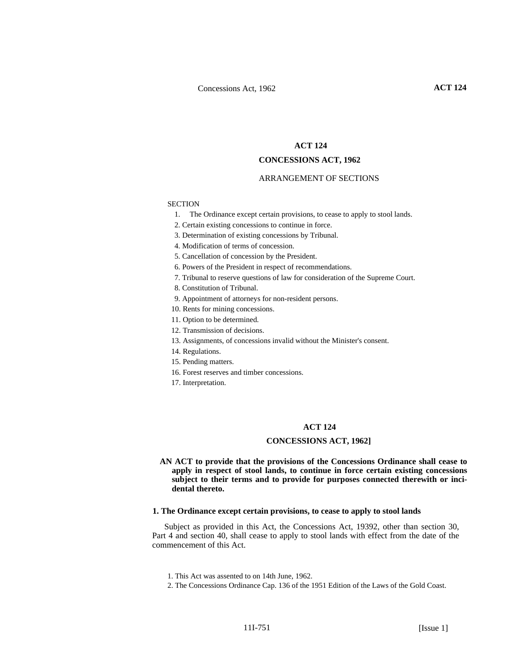# **ACT 124**

# **CONCESSIONS ACT, 1962**

#### ARRANGEMENT OF SECTIONS

## **SECTION**

- 1. The Ordinance except certain provisions, to cease to apply to stool lands.
- 2. Certain existing concessions to continue in force.
- 3. Determination of existing concessions by Tribunal.
- 4. Modification of terms of concession.
- 5. Cancellation of concession by the President.
- 6. Powers of the President in respect of recommendations.
- 7. Tribunal to reserve questions of law for consideration of the Supreme Court.
- 8. Constitution of Tribunal.
- 9. Appointment of attorneys for non-resident persons.
- 10. Rents for mining concessions.
- 11. Option to be determined.
- 12. Transmission of decisions.
- 13. Assignments, of concessions invalid without the Minister's consent.
- 14. Regulations.
- 15. Pending matters.
- 16. Forest reserves and timber concessions.
- 17. Interpretation.

# **ACT 124**

# **CONCESSIONS ACT, 1962]**

**AN ACT to provide that the provisions of the Concessions Ordinance shall cease to apply in respect of stool lands, to continue in force certain existing concessions subject to their terms and to provide for purposes connected therewith or incidental thereto.** 

#### **1. The Ordinance except certain provisions, to cease to apply to stool lands**

Subject as provided in this Act, the Concessions Act, 19392, other than section 30, Part 4 and section 40, shall cease to apply to stool lands with effect from the date of the commencement of this Act.

- 1. This Act was assented to on 14th June, 1962.
- 2. The Concessions Ordinance Cap. 136 of the 1951 Edition of the Laws of the Gold Coast.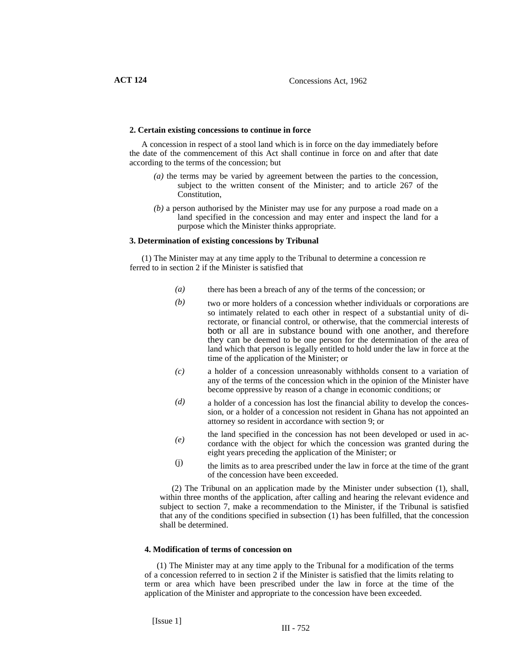# **2. Certain existing concessions to continue in force**

A concession in respect of a stool land which is in force on the day immediately before the date of the commencement of this Act shall continue in force on and after that date according to the terms of the concession; but

- *(a)* the terms may be varied by agreement between the parties to the concession, subject to the written consent of the Minister; and to article 267 of the Constitution,
- *(b)* a person authorised by the Minister may use for any purpose a road made on a land specified in the concession and may enter and inspect the land for a purpose which the Minister thinks appropriate.

## **3. Determination of existing concessions by Tribunal**

(1) The Minister may at any time apply to the Tribunal to determine a concession re ferred to in section 2 if the Minister is satisfied that

- *(a)* there has been a breach of any of the terms of the concession; or
- *(b)* two or more holders of a concession whether individuals or corporations are so intimately related to each other in respect of a substantial unity of directorate, or financial control, or otherwise, that the commercial interests of both or all are in substance bound with one another, and therefore they can be deemed to be one person for the determination of the area of land which that person is legally entitled to hold under the law in force at the time of the application of the Minister; or
- a holder of a concession unreasonably withholds consent to a variation of any of the terms of the concession which in the opinion of the Minister have become oppressive by reason of a change in economic conditions; or *(c)*
- a holder of a concession has lost the financial ability to develop the concession, or a holder of a concession not resident in Ghana has not appointed an attorney so resident in accordance with section 9; or *(d)*
- the land specified in the concession has not been developed or used in accordance with the object for which the concession was granted during the eight years preceding the application of the Minister; or *(e)*
- the limits as to area prescribed under the law in force at the time of the grant of the concession have been exceeded. (j)

(2) The Tribunal on an application made by the Minister under subsection (1), shall, within three months of the application, after calling and hearing the relevant evidence and subject to section 7, make a recommendation to the Minister, if the Tribunal is satisfied that any of the conditions specified in subsection (1) has been fulfilled, that the concession shall be determined.

# **4. Modification of terms of concession on**

(1) The Minister may at any time apply to the Tribunal for a modification of the terms of a concession referred to in section 2 if the Minister is satisfied that the limits relating to term or area which have been prescribed under the law in force at the time of the application of the Minister and appropriate to the concession have been exceeded.

[Issue 1]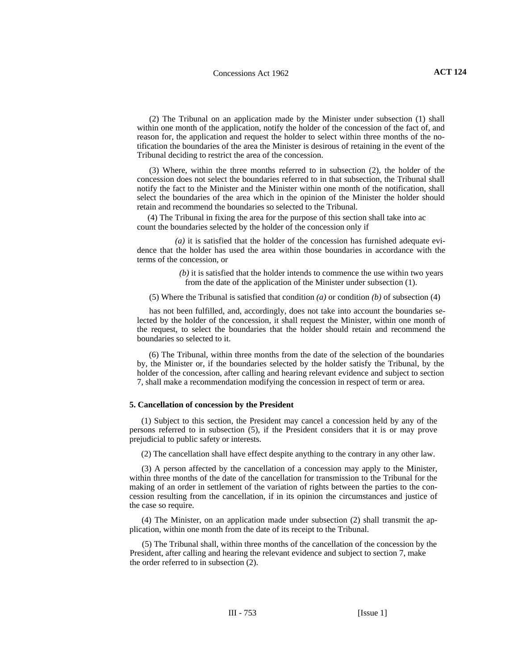(2) The Tribunal on an application made by the Minister under subsection (1) shall within one month of the application, notify the holder of the concession of the fact of, and reason for, the application and request the holder to select within three months of the notification the boundaries of the area the Minister is desirous of retaining in the event of the Tribunal deciding to restrict the area of the concession.

(3) Where, within the three months referred to in subsection (2), the holder of the concession does not select the boundaries referred to in that subsection, the Tribunal shall notify the fact to the Minister and the Minister within one month of the notification, shall select the boundaries of the area which in the opinion of the Minister the holder should retain and recommend the boundaries so selected to the Tribunal.

 (4) The Tribunal in fixing the area for the purpose of this section shall take into ac count the boundaries selected by the holder of the concession only if

 *(a)* it is satisfied that the holder of the concession has furnished adequate evidence that the holder has used the area within those boundaries in accordance with the terms of the concession, or

> *(b)* it is satisfied that the holder intends to commence the use within two years from the date of the application of the Minister under subsection (1).

(5) Where the Tribunal is satisfied that condition *(a)* or condition *(b)* of subsection (4)

has not been fulfilled, and, accordingly, does not take into account the boundaries selected by the holder of the concession, it shall request the Minister, within one month of the request, to select the boundaries that the holder should retain and recommend the boundaries so selected to it.

(6) The Tribunal, within three months from the date of the selection of the boundaries by, the Minister or, if the boundaries selected by the holder satisfy the Tribunal, by the holder of the concession, after calling and hearing relevant evidence and subject to section 7, shall make a recommendation modifying the concession in respect of term or area.

#### **5. Cancellation of concession by the President**

(1) Subject to this section, the President may cancel a concession held by any of the persons referred to in subsection (5), if the President considers that it is or may prove prejudicial to public safety or interests.

(2) The cancellation shall have effect despite anything to the contrary in any other law.

(3) A person affected by the cancellation of a concession may apply to the Minister, within three months of the date of the cancellation for transmission to the Tribunal for the making of an order in settlement of the variation of rights between the parties to the concession resulting from the cancellation, if in its opinion the circumstances and justice of the case so require.

(4) The Minister, on an application made under subsection (2) shall transmit the application, within one month from the date of its receipt to the Tribunal.

(5) The Tribunal shall, within three months of the cancellation of the concession by the President, after calling and hearing the relevant evidence and subject to section 7, make the order referred to in subsection (2).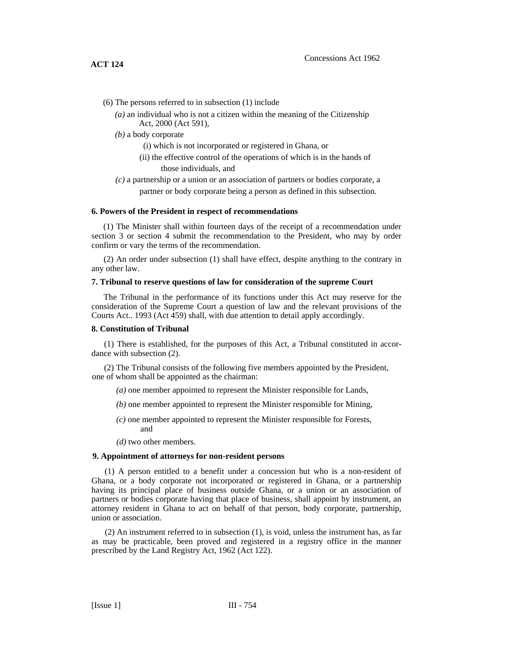- (6) The persons referred to in subsection (1) include
	- *(a)* an individual who is not a citizen within the meaning of the Citizenship Act, 2000 (Act 591),
	- *(b)* a body corporate
		- (i) which is not incorporated or registered in Ghana, or
		- (ii) the effective control of the operations of which is in the hands of those individuals, and
	- *(c)* a partnership or a union or an association of partners or bodies corporate, a partner or body corporate being a person as defined in this subsection.

## **6. Powers of the President in respect of recommendations**

(1) The Minister shall within fourteen days of the receipt of a recommendation under section 3 or section 4 submit the recommendation to the President, who may by order confirm or vary the terms of the recommendation.

(2) An order under subsection (1) shall have effect, despite anything to the contrary in any other law.

## **7. Tribunal to reserve questions of law for consideration of the supreme Court**

The Tribunal in the performance of its functions under this Act may reserve for the consideration of the Supreme Court a question of law and the relevant provisions of the Courts Act.. 1993 (Act 459) shall, with due attention to detail apply accordingly.

## **8. Constitution of Tribunal**

(1) There is established, for the purposes of this Act, a Tribunal constituted in accordance with subsection (2).

(2) The Tribunal consists of the following five members appointed by the President, one of whom shall be appointed as the chairman:

- *(a)* one member appointed to represent the Minister responsible for Lands,
- *(b)* one member appointed to represent the Minister responsible for Mining,
- *(c)* one member appointed to represent the Minister responsible for Forests, and
- *(d)* two other members.

## **9. Appointment of attorneys for non-resident persons**

(1) A person entitled to a benefit under a concession but who is a non-resident of Ghana, or a body corporate not incorporated or registered in Ghana, or a partnership having its principal place of business outside Ghana, or a union or an association of partners or bodies corporate having that place of business, shall appoint by instrument, an attorney resident in Ghana to act on behalf of that person, body corporate, partnership, union or association.

(2) An instrument referred to in subsection (1), is void, unless the instrument has, as far as may be practicable, been proved and registered in a registry office in the manner prescribed by the Land Registry Act, 1962 (Act 122).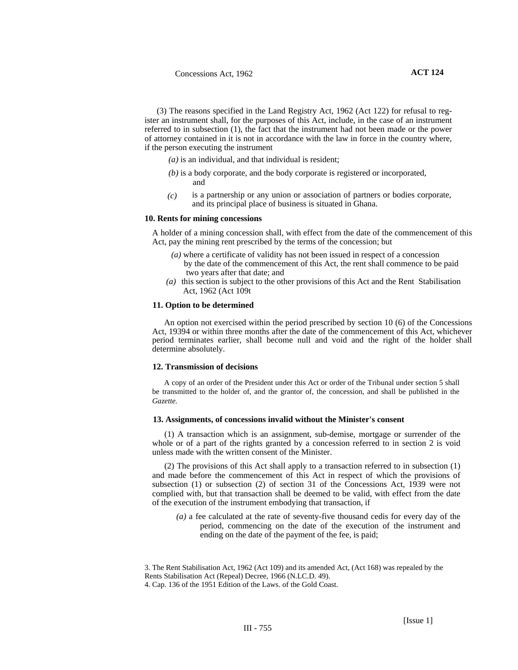(3) The reasons specified in the Land Registry Act, 1962 (Act 122) for refusal to register an instrument shall, for the purposes of this Act, include, in the case of an instrument referred to in subsection (1), the fact that the instrument had not been made or the power of attorney contained in it is not in accordance with the law in force in the country where, if the person executing the instrument

*(a)* is an individual, and that individual is resident;

- *(b)* is a body corporate, and the body corporate is registered or incorporated, and
- is a partnership or any union or association of partners or bodies corporate, and its principal place of business is situated in Ghana. *(c)*

## **10. Rents for mining concessions**

A holder of a mining concession shall, with effect from the date of the commencement of this Act, pay the mining rent prescribed by the terms of the concession; but

- *(a)* where a certificate of validity has not been issued in respect of a concession by the date of the commencement of this Act, the rent shall commence to be paid two years after that date; and
- *(a)* this section is subject to the other provisions of this Act and the Rent Stabilisation Act, 1962 (Act 109t

#### **11. Option to be determined**

An option not exercised within the period prescribed by section 10 (6) of the Concessions Act, 19394 or within three months after the date of the commencement of this Act, whichever period terminates earlier, shall become null and void and the right of the holder shall determine absolutely.

#### **12. Transmission of decisions**

A copy of an order of the President under this Act or order of the Tribunal under section 5 shall be transmitted to the holder of, and the grantor of, the concession, and shall be published in the *Gazette.* 

#### **13. Assignments, of concessions invalid without the Minister's consent**

(1) A transaction which is an assignment, sub-demise, mortgage or surrender of the whole or of a part of the rights granted by a concession referred to in section 2 is void unless made with the written consent of the Minister.

(2) The provisions of this Act shall apply to a transaction referred to in subsection (1) and made before the commencement of this Act in respect of which the provisions of subsection (1) or subsection (2) of section 31 of the Concessions Act, 1939 were not complied with, but that transaction shall be deemed to be valid, with effect from the date of the execution of the instrument embodying that transaction, if

*(a)* a fee calculated at the rate of seventy-five thousand cedis for every day of the period, commencing on the date of the execution of the instrument and ending on the date of the payment of the fee, is paid;

<sup>3.</sup> The Rent Stabilisation Act, 1962 (Act 109) and its amended Act, (Act 168) was repealed by the Rents Stabilisation Act (Repeal) Decree, 1966 (N.LC.D. 49). 4. Cap. 136 of the 1951 Edition of the Laws. of the Gold Coast.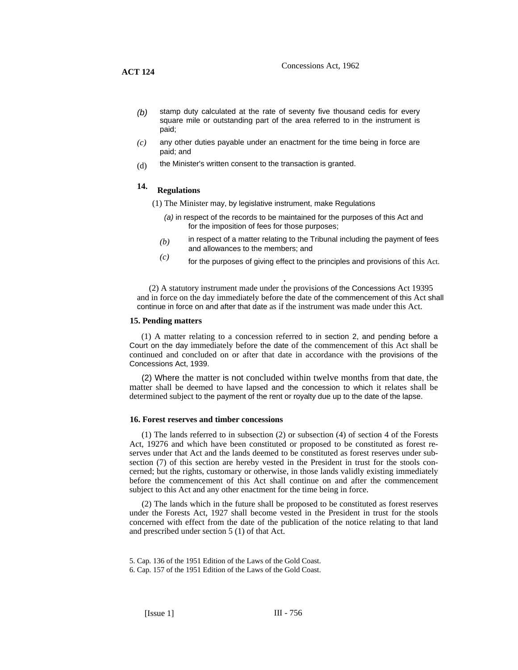- stamp duty calculated at the rate of seventy five thousand cedis for every square mile or outstanding part of the area referred to in the instrument is paid; *(b)*
- any other duties payable under an enactment for the time being in force are paid; and *(c)*
- the Minister's written consent to the transaction is granted. (d)

# **14. Regulations**

- (1) The Minister may, by legislative instrument, make Regulations
	- *(a)* in respect of the records to be maintained for the purposes of this Act and for the imposition of fees for those purposes;
	- in respect of a matter relating to the Tribunal including the payment of fees and allowances to the members; and *(b)*
	- $f(c)$  for the purposes of giving effect to the principles and provisions of this Act.

(2) A statutory instrument made under the provisions of the Concessions Act 19395 and in force on the day immediately before the date of the commencement of this Act shall continue in force on and after that date as if the instrument was made under this Act.

#### **15. Pending matters**

(1) A matter relating to a concession referred to in section 2, and pending before a Court on the day immediately before the date of the commencement of this Act shall be continued and concluded on or after that date in accordance with the provisions of the Concessions Act, 1939.

(2) Where the matter is not concluded within twelve months from that date, the matter shall be deemed to have lapsed and the concession to which it relates shall be determined subject to the payment of the rent or royalty due up to the date of the lapse.

#### **16. Forest reserves and timber concessions**

.

(1) The lands referred to in subsection (2) or subsection (4) of section 4 of the Forests Act, 19276 and which have been constituted or proposed to be constituted as forest reserves under that Act and the lands deemed to be constituted as forest reserves under subsection (7) of this section are hereby vested in the President in trust for the stools concerned; but the rights, customary or otherwise, in those lands validly existing immediately before the commencement of this Act shall continue on and after the commencement subject to this Act and any other enactment for the time being in force.

(2) The lands which in the future shall be proposed to be constituted as forest reserves under the Forests Act, 1927 shall become vested in the President in trust for the stools concerned with effect from the date of the publication of the notice relating to that land and prescribed under section 5 (1) of that Act.

5. Cap. 136 of the 1951 Edition of the Laws of the Gold Coast. 6. Cap. 157 of the 1951 Edition of the Laws of the Gold Coast.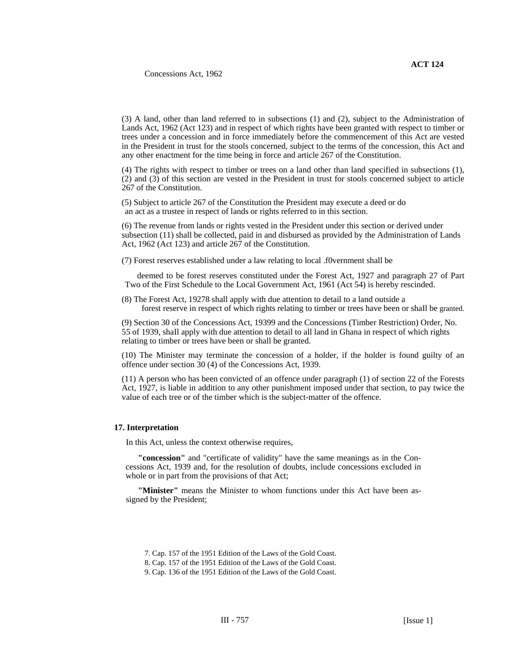(3) A land, other than land referred to in subsections (1) and (2), subject to the Administration of Lands Act, 1962 (Act 123) and in respect of which rights have been granted with respect to timber or trees under a concession and in force immediately before the commencement of this Act are vested in the President in trust for the stools concerned, subject to the terms of the concession, this Act and any other enactment for the time being in force and article 267 of the Constitution.

(4) The rights with respect to timber or trees on a land other than land specified in subsections (1), (2) and (3) of this section are vested in the President in trust for stools concerned subject to article 267 of the Constitution.

(5) Subject to article 267 of the Constitution the President may execute a deed or do an act as a trustee in respect of lands or rights referred to in this section.

(6) The revenue from lands or rights vested in the President under this section or derived under subsection (11) shall be collected, paid in and disbursed as provided by the Administration of Lands Act, 1962 (Act 123) and article 267 of the Constitution.

(7) Forest reserves established under a law relating to local .f0vernment shall be

deemed to be forest reserves constituted under the Forest Act, 1927 and paragraph 27 of Part Two of the First Schedule to the Local Government Act, 1961 (Act 54) is hereby rescinded.

(8) The Forest Act, 19278 shall apply with due attention to detail to a land outside a forest reserve in respect of which rights relating to timber or trees have been or shaIl be granted.

(9) Section 30 of the Concessions Act, 19399 and the Concessions (Timber Restriction) Order, No. 55 of 1939, shaIl apply with due attention to detail to all land in Ghana in respect of which rights relating to timber or trees have been or shall be granted.

(10) The Minister may terminate the concession of a holder, if the holder is found guilty of an offence under section 30 (4) of the Concessions Act, 1939.

(11) A person who has been convicted of an offence under paragraph (1) of section 22 of the Forests Act, 1927, is liable in addition to any other punishment imposed under that section, to pay twice the value of each tree or of the timber which is the subject-matter of the offence.

## **17. Interpretation**

In this Act, unless the context otherwise requires,

**"concession"** and "certificate of validity" have the same meanings as in the Concessions Act, 1939 and, for the resolution of doubts, include concessions excluded in whole or in part from the provisions of that Act;

**"Minister"** means the Minister to whom functions under this Act have been assigned by the President;

<sup>7.</sup> Cap. 157 of the 1951 Edition of the Laws of the Gold Coast.

<sup>8.</sup> Cap. 157 of the 1951 Edition of the Laws of the Gold Coast.

<sup>9.</sup> Cap. 136 of the 1951 Edition of the Laws of the Gold Coast.